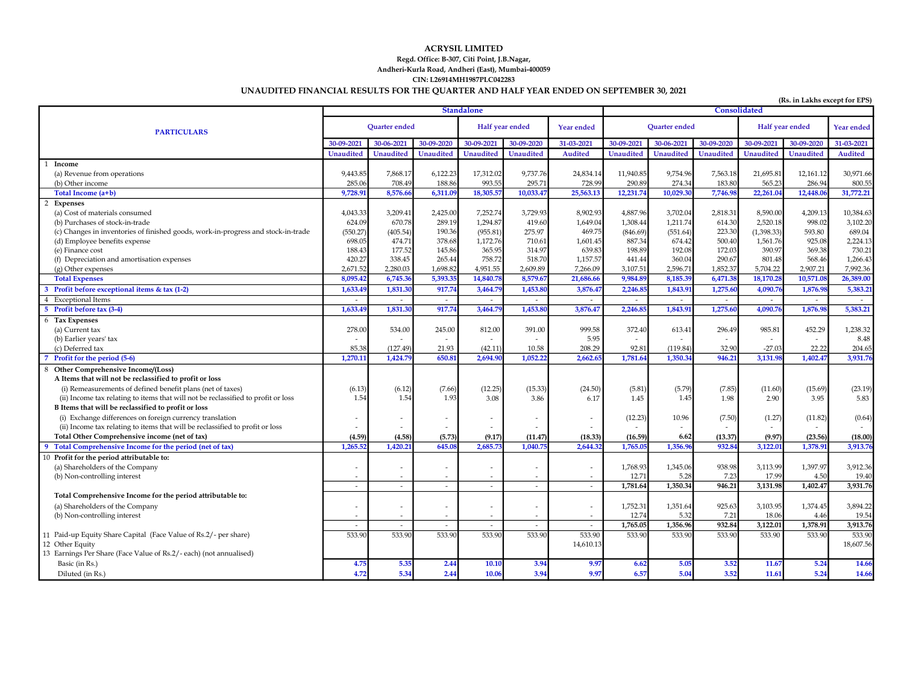### UNAUDITED FINANCIAL RESULTS FOR THE QUARTER AND HALF YEAR ENDED ON SEPTEMBER 30, 2021 ACRYSIL LIMITED Regd. Office: B-307, Citi Point, J.B.Nagar, Andheri-Kurla Road, Andheri (East), Mumbai-400059 CIN: L26914MH1987PLC042283

| (Rs. in Lakhs except for EPS)                                                     |                          |                          |                          |                          |                       |                          |                      |                  |                             |                          |                  |                |
|-----------------------------------------------------------------------------------|--------------------------|--------------------------|--------------------------|--------------------------|-----------------------|--------------------------|----------------------|------------------|-----------------------------|--------------------------|------------------|----------------|
|                                                                                   | <b>Standalone</b>        |                          |                          |                          | Consolidated          |                          |                      |                  |                             |                          |                  |                |
| <b>PARTICULARS</b>                                                                |                          | <b>Ouarter ended</b>     |                          | Half year ended          |                       | <b>Year ended</b>        | <b>Ouarter</b> ended |                  | Half year ended             |                          | Year ended       |                |
|                                                                                   | 30-09-2021               | 30-06-2021               | 30-09-2020               | 30-09-2021               | 30-09-2020            | 31-03-2021               | 30-09-2021           | 30-06-2021       | 30-09-2020                  | 30-09-2021               | 30-09-2020       | 31-03-2021     |
|                                                                                   | <b>Unaudited</b>         | <b>Unaudited</b>         | <b>Unaudited</b>         | <b>Unaudited</b>         | <b>Unaudited</b>      | Audited                  | <b>Unaudited</b>     | <b>Unaudited</b> | <b>Unaudited</b>            | <b>Unaudited</b>         | <b>Unaudited</b> | <b>Audited</b> |
| 1 Income                                                                          |                          |                          |                          |                          |                       |                          |                      |                  |                             |                          |                  |                |
| (a) Revenue from operations                                                       | 9,443.85                 | 7,868.17                 | 6,122.23                 | 17,312.02                | 9,737.76              | 24,834.14                | 11,940.85            | 9,754.96         | 7,563.18                    | 21,695.81                | 12,161.12        | 30,971.66      |
| (b) Other income                                                                  | 285.0                    | 708.49                   | 188.86                   | 993.55                   | 295.71                | 728.99                   | 290.89               | 274.34           | 183.80                      | 565.23                   | 286.94           | 800.5          |
| Total Income (a+b)                                                                | 9,728.9                  | 8,576.66                 | 6,311.0                  | 18,305.5                 | 10,033.47             | 25,563.13                | 12,231.74            | 10,029.30        | 7,746.9                     | 22,261.0                 | 12,448.0         | 31,772.21      |
| 2 Expenses                                                                        |                          |                          |                          |                          |                       |                          |                      |                  |                             |                          |                  |                |
| (a) Cost of materials consumed                                                    | 4,043.33                 | 3,209.41                 | 2,425.00                 | 7,252.74                 | 3,729.93              | 8,902.93                 | 4,887.96             | 3,702.04         | 2,818.31                    | 8,590.00                 | 4,209.13         | 10,384.63      |
| (b) Purchases of stock-in-trade                                                   | 624.09                   | 670.78                   | 289.19                   | 1,294.87                 | 419.60                | 1,649.04                 | 1,308.44             | 1,211.74         | 614.30                      | 2,520.18                 | 998.02           | 3,102.20       |
| (c) Changes in inventories of finished goods, work-in-progress and stock-in-trade | (550.27)                 | (405.54)                 | 190.36                   | (955.81)                 | 275.97                | 469.75                   | (846.69)             | (551.64)         | 223.30                      | (1, 398.33)              | 593.80           | 689.04         |
| (d) Employee benefits expense                                                     | 698.05                   | 474.71                   | 378.68                   | 1,172.76                 | 710.61                | 1,601.45                 | 887.34               | 674.42           | 500.40                      | 1,561.76                 | 925.08           | 2,224.13       |
| (e) Finance cost                                                                  | 188.43                   | 177.52                   | 145.86                   | 365.95                   | 314.97                | 639.83                   | 198.89               | 192.08           | 172.03                      | 390.97                   | 369.38           | 730.21         |
| (f) Depreciation and amortisation expenses                                        | 420.27                   | 338.45                   | 265.44                   | 758.72                   | 518.70                | 1,157.57                 | 441.44               | 360.04           | 290.67                      | 801.48                   | 568.46           | 1,266.43       |
| (g) Other expenses                                                                | 2,671.52                 | 2.280.03                 | 1,698.82                 | 4,951.55                 | 2.609.89              | 7,266.09                 | 3,107.51             | 2,596.71         | 1,852.37                    | 5,704.22                 | 2,907.21         | 7,992.36       |
| <b>Total Expenses</b>                                                             | 8,095.4                  | 6,745.3                  | 5,393.3                  | 14,840.78                | 8,579.6               | 21,686.66                | 9,984.89             | 8,185.39         | 6,471.38                    | 18,170.28                | 10,571.0         | 26,389.00      |
| 3 Profit before exceptional items & tax (1-2)                                     | 1,633.4                  | 1,831.30                 | 917.7                    | 3,464.7                  | 1,453.80              | 3,876.4                  | 2,246.8              | 1,843.91         | 1,275.60                    | 4,090.76                 | 1,876.98         | 5,383.2        |
| 4 Exceptional Items                                                               | $\sim$                   | $\sim$                   | $\sim$                   | $\overline{a}$           | $\tilde{\phantom{a}}$ | $\overline{\phantom{a}}$ | $\sim$               | $\sim$           | $\mathcal{L}_{\mathcal{A}}$ | $\sim$                   | $\overline{a}$   |                |
| 5 Profit before tax (3-4)                                                         | 1,633.4                  | 1,831.3                  | 917.74                   | 3,464.7                  | 1,453.8               | 3,876.47                 | 2,246.8              | 1,843.91         | 1,275.60                    | 4,090.7                  | 1,876.98         | 5,383.21       |
| 6 Tax Expenses                                                                    |                          |                          |                          |                          |                       |                          |                      |                  |                             |                          |                  |                |
| (a) Current tax                                                                   | 278.00                   | 534.00                   | 245.00                   | 812.00                   | 391.00                | 999.58                   | 372.40               | 613.41           | 296.49                      | 985.81                   | 452.29           | 1,238.32       |
| (b) Earlier years' tax                                                            | $\sim$                   | $\overline{\phantom{a}}$ | $\sim$                   | $\sim$                   | $\tilde{\phantom{a}}$ | 5.95                     | $\sim$               | $\sim$           | $\overline{a}$              | $\overline{\phantom{a}}$ | $\sim$           | 8.48           |
| (c) Deferred tax                                                                  | 85.38                    | (127.49                  | 21.93                    | (42.11)                  | 10.58                 | 208.29                   | 92.81                | (119.84)         | 32.90                       | $-27.03$                 | 22.22            | 204.65         |
| 7 Profit for the period (5-6)                                                     | 1,270.1                  | 1,424.7                  | 650.8                    | 2,694.90                 | 1,052.2               | 2,662.6                  | 1,781.64             | 1.350.34         | 946.21                      | 3,131.98                 | 1.402.4          | 3,931.76       |
| 8 Other Comprehensive Income/(Loss)                                               |                          |                          |                          |                          |                       |                          |                      |                  |                             |                          |                  |                |
| A Items that will not be reclassified to profit or loss                           |                          |                          |                          |                          |                       |                          |                      |                  |                             |                          |                  |                |
| (i) Remeasurements of defined benefit plans (net of taxes)                        | (6.13)                   | (6.12)                   | (7.66)                   | (12.25)                  | (15.33)               | (24.50)                  | (5.81)               | (5.79)           | (7.85)                      | (11.60)                  | (15.69)          | (23.19)        |
| (ii) Income tax relating to items that will not be reclassified to profit or loss | 1.54                     | 1.54                     | 1.93                     | 3.08                     | 3.86                  | 6.17                     | 1.45                 | 1.45             | 1.98                        | 2.90                     | 3.95             | 5.83           |
| B Items that will be reclassified to profit or loss                               |                          |                          |                          |                          |                       |                          |                      |                  |                             |                          |                  |                |
| (i) Exchange differences on foreign currency translation                          |                          |                          |                          | ٠                        |                       |                          | (12.23)              | 10.96            | (7.50)                      | (1.27)                   | (11.82)          | (0.64)         |
| (ii) Income tax relating to items that will be reclassified to profit or loss     |                          |                          | $\tilde{\phantom{a}}$    | $\overline{\phantom{a}}$ |                       |                          |                      |                  |                             |                          |                  |                |
| Total Other Comprehensive income (net of tax)                                     | (4.59)                   | (4.58)                   | (5.73)                   | (9.17)                   | (11.47)               | (18.33)                  | (16.59)              | 6.62             | (13.37)                     | (9.97)                   | (23.56)          | (18.00)        |
| 9 Total Comprehensive Income for the period (net of tax)                          | 1.265.5                  | 1.420.2                  | 645.0                    | 2,685.7                  | 1,040.7               | 2,644.3                  | 1,765.0              | 1,356.9          | 932.84                      | 3,122.0                  | 1.378.91         | 3.913.7        |
| 10 Profit for the period attributable to:                                         |                          |                          |                          |                          |                       |                          |                      |                  |                             |                          |                  |                |
| (a) Shareholders of the Company                                                   | $\overline{\phantom{a}}$ |                          | $\overline{a}$           | $\overline{\phantom{a}}$ |                       |                          | 1,768.93             | 1,345.06         | 938.98                      | 3,113.99                 | 1,397.97         | 3,912.36       |
| (b) Non-controlling interest                                                      | $\overline{\phantom{a}}$ | $\overline{\phantom{a}}$ | $\overline{\phantom{a}}$ | $\overline{\phantom{a}}$ | $\overline{a}$        |                          | 12.71                | 5.28             | 7.23                        | 17.99                    | 4.50             | 19.40          |
|                                                                                   | $\overline{\phantom{a}}$ | $\sim$                   | $\sim$                   | $\sim$                   | $\tilde{\phantom{a}}$ | $\sim$                   | 1,781.64             | 1,350.34         | 946.21                      | 3,131.98                 | 1,402.47         | 3,931.76       |
| Total Comprehensive Income for the period attributable to:                        |                          |                          |                          |                          |                       |                          |                      |                  |                             |                          |                  |                |
| (a) Shareholders of the Company                                                   | $\overline{\phantom{a}}$ | $\overline{\phantom{a}}$ | $\tilde{\phantom{a}}$    | $\overline{\phantom{a}}$ | ٠                     |                          | 1,752.31             | 1,351.64         | 925.63                      | 3,103.95                 | 1,374.45         | 3,894.22       |
| (b) Non-controlling interest                                                      | $\overline{\phantom{a}}$ | $\overline{\phantom{a}}$ | $\overline{\phantom{a}}$ | $\overline{\phantom{a}}$ |                       |                          | 12.74                | 5.32             | 7.21                        | 18.06                    | 4.46             | 19.54          |
|                                                                                   | $\sim$                   | $\sim$                   | $\sim$                   | $\sim$                   | $\sim$                | $\sim$                   | 1,765.05             | 1,356.96         | 932.84                      | 3,122.01                 | 1,378.91         | 3,913.76       |
| 11 Paid-up Equity Share Capital (Face Value of Rs.2/- per share)                  | 533.90                   | 533.90                   | 533.90                   | 533.90                   | 533.90                | 533.90                   | 533.90               | 533.90           | 533.90                      | 533.90                   | 533.90           | 533.90         |
| 12 Other Equity                                                                   |                          |                          |                          |                          |                       | 14,610.13                |                      |                  |                             |                          |                  | 18,607.56      |
| 13 Earnings Per Share (Face Value of Rs.2/- each) (not annualised)                |                          |                          |                          |                          |                       |                          |                      |                  |                             |                          |                  |                |
| Basic (in Rs.)                                                                    | 4.75                     | 5.35                     | 2.44                     | 10.10                    | 3.94                  | 9.97                     | 6.62                 | 5.05             | 3.52                        | 11.67                    | 5.24             | 14.66          |
| Diluted (in Rs.)                                                                  | 4.72                     | 5.34                     | 2.44                     | 10.06                    | 3.94                  | 9.97                     | 6.57                 | 5.04             | 3.52                        | 11.61                    | 5.24             | 14.66          |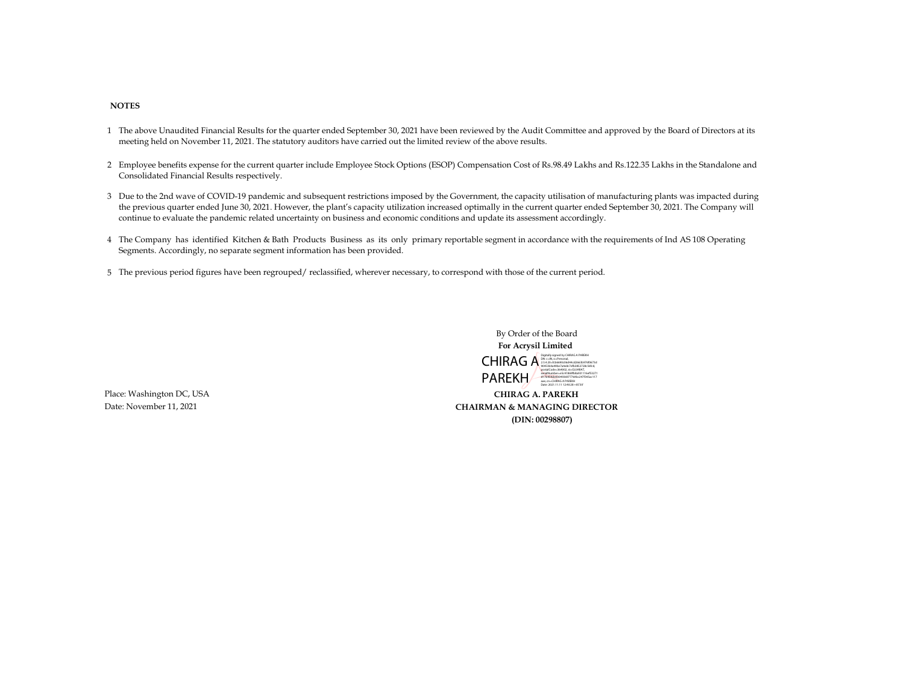#### NOTES

- 1 The above Unaudited Financial Results for the quarter ended September 30, 2021 have been reviewed by the Audit Committee and approved by the Board of Directors at its meeting held on November 11, 2021. The statutory auditors have carried out the limited review of the above results.
- 2 Employee benefits expense for the current quarter include Employee Stock Options (ESOP) Compensation Cost of Rs.98.49 Lakhs and Rs.122.35 Lakhs in the Standalone and Consolidated Financial Results respectively.
- 3 Due to the 2nd wave of COVID-19 pandemic and subsequent restrictions imposed by the Government, the capacity utilisation of manufacturing plants was impacted during the previous quarter ended June 30, 2021. However, the plant's capacity utilization increased optimally in the current quarter ended September 30, 2021. The Company will continue to evaluate the pandemic related uncertainty on business and economic conditions and update its assessment accordingly.
- 4 The Company has identified Kitchen & Bath Products Business as its only primary reportable segment in accordance with the requirements of Ind AS 108 Operating Segments. Accordingly, no separate segment information has been provided.
- 5 The previous period figures have been regrouped/ reclassified, wherever necessary, to correspond with those of the current period.

 By Order of the Board For Acrysil Limited CHIRAG A DISENSION CONDUCTER PARENT PAREKH Digitally signed by CHIRAG A PAREKH 90453b0a49be7a4e8c7efb3852728c56fcd, postalCode=364002, st=GUJARAT, serialNumber=e5c41869fb8a931116ef53271 d17b934de0304936977764bc247f345ac117 aae, cn=CHIRAG A PAREKH Date: 2021.11.11 12:40:28 +05'30'

Place: Washington DC, USA CHIRAG A. PAREKH Date: November 11, 2021 CHAIRMAN & MANAGING DIRECTOR (DIN: 00298807)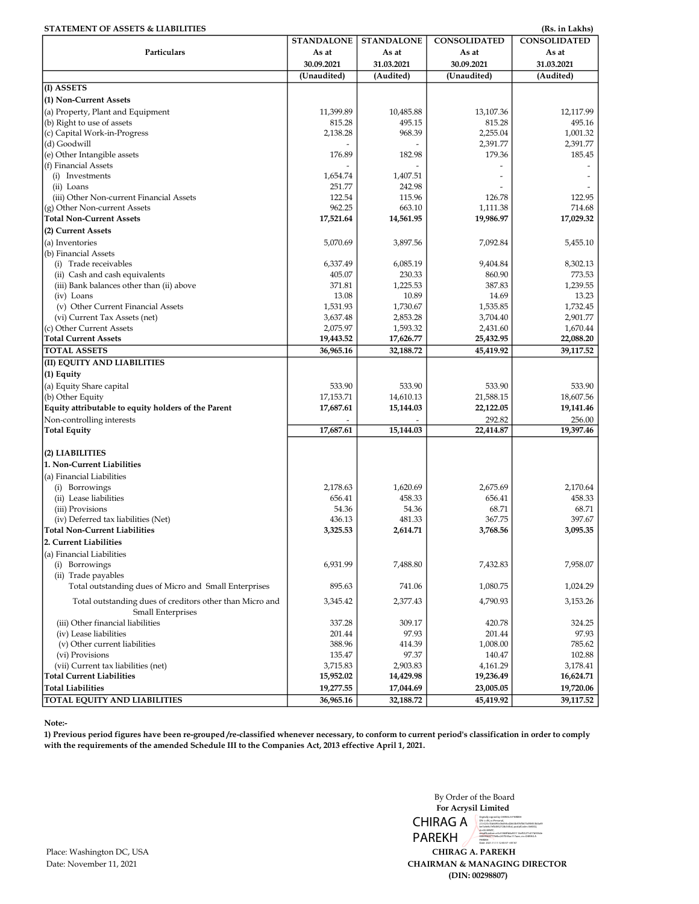| <b>STATEMENT OF ASSETS &amp; LIABILITIES</b>                                  |                   |                   |                     | (Rs. in Lakhs)      |
|-------------------------------------------------------------------------------|-------------------|-------------------|---------------------|---------------------|
|                                                                               | <b>STANDALONE</b> | <b>STANDALONE</b> | <b>CONSOLIDATED</b> | <b>CONSOLIDATED</b> |
| Particulars                                                                   | As at             | As at             | As at               | As at               |
|                                                                               | 30.09.2021        | 31.03.2021        | 30.09.2021          | 31.03.2021          |
|                                                                               | (Unaudited)       | (Audited)         | (Unaudited)         | (Audited)           |
| (I) ASSETS                                                                    |                   |                   |                     |                     |
| (1) Non-Current Assets                                                        |                   |                   |                     |                     |
| (a) Property, Plant and Equipment                                             | 11,399.89         | 10,485.88         | 13,107.36           | 12,117.99           |
| (b) Right to use of assets                                                    | 815.28            | 495.15            | 815.28              | 495.16              |
| (c) Capital Work-in-Progress                                                  | 2,138.28          | 968.39            | 2,255.04            | 1,001.32            |
| (d) Goodwill<br>(e) Other Intangible assets                                   |                   |                   | 2,391.77<br>179.36  | 2,391.77<br>185.45  |
| (f) Financial Assets                                                          | 176.89            | 182.98            |                     |                     |
| (i) Investments                                                               | 1,654.74          | 1,407.51          |                     |                     |
| (ii) Loans                                                                    | 251.77            | 242.98            |                     |                     |
| (iii) Other Non-current Financial Assets                                      | 122.54            | 115.96            | 126.78              | 122.95              |
| (g) Other Non-current Assets                                                  | 962.25            | 663.10            | 1,111.38            | 714.68              |
| <b>Total Non-Current Assets</b>                                               | 17,521.64         | 14,561.95         | 19,986.97           | 17,029.32           |
| (2) Current Assets                                                            |                   |                   |                     |                     |
| (a) Inventories                                                               | 5,070.69          | 3,897.56          | 7,092.84            | 5,455.10            |
| (b) Financial Assets                                                          |                   |                   |                     |                     |
| (i) Trade receivables                                                         | 6,337.49          | 6,085.19          | 9,404.84            | 8,302.13            |
| (ii) Cash and cash equivalents                                                | 405.07            | 230.33            | 860.90              | 773.53              |
| (iii) Bank balances other than (ii) above                                     | 371.81            | 1,225.53          | 387.83              | 1,239.55            |
| (iv) Loans                                                                    | 13.08             | 10.89             | 14.69               | 13.23               |
| (v) Other Current Financial Assets                                            | 1,531.93          | 1,730.67          | 1,535.85            | 1,732.45            |
| (vi) Current Tax Assets (net)                                                 | 3,637.48          | 2,853.28          | 3,704.40            | 2,901.77            |
| (c) Other Current Assets                                                      | 2,075.97          | 1,593.32          | 2,431.60            | 1,670.44            |
| <b>Total Current Assets</b><br><b>TOTAL ASSETS</b>                            | 19,443.52         | 17,626.77         | 25,432.95           | 22,088.20           |
| (II) EQUITY AND LIABILITIES                                                   | 36,965.16         | 32,188.72         | 45,419.92           | 39,117.52           |
| (1) Equity                                                                    |                   |                   |                     |                     |
| (a) Equity Share capital                                                      | 533.90            | 533.90            | 533.90              | 533.90              |
| (b) Other Equity                                                              | 17,153.71         | 14,610.13         | 21,588.15           | 18,607.56           |
| Equity attributable to equity holders of the Parent                           | 17,687.61         | 15,144.03         | 22,122.05           | 19,141.46           |
| Non-controlling interests                                                     |                   |                   | 292.82              | 256.00              |
| <b>Total Equity</b>                                                           | 17,687.61         | 15,144.03         | 22,414.87           | 19,397.46           |
|                                                                               |                   |                   |                     |                     |
| (2) LIABILITIES                                                               |                   |                   |                     |                     |
| 1. Non-Current Liabilities                                                    |                   |                   |                     |                     |
| (a) Financial Liabilities                                                     |                   |                   |                     |                     |
| (i) Borrowings                                                                | 2,178.63          | 1.620.69          | 2.675.69            | 2,170.64            |
| (ii) Lease liabilities                                                        | 656.41            | 458.33            | 656.41              | 458.33              |
| (iii) Provisions                                                              | 54.36             | 54.36             | 68.71               | 68.71               |
| (iv) Deferred tax liabilities (Net)                                           | 436.13            | 481.33            | 367.75              | 397.67              |
| Total Non-Current Liabilities                                                 | 3,325.53          | 2,614.71          | 3,768.56            | 3.095.35            |
| 2. Current Liabilities                                                        |                   |                   |                     |                     |
| (a) Financial Liabilities                                                     |                   |                   |                     |                     |
| (i) Borrowings                                                                | 6,931.99          | 7,488.80          | 7,432.83            | 7,958.07            |
| (ii) Trade payables                                                           |                   |                   |                     |                     |
| Total outstanding dues of Micro and Small Enterprises                         | 895.63            | 741.06            | 1,080.75            | 1,024.29            |
| Total outstanding dues of creditors other than Micro and<br>Small Enterprises | 3,345.42          | 2,377.43          | 4,790.93            | 3,153.26            |
| (iii) Other financial liabilities                                             | 337.28            | 309.17            | 420.78              | 324.25              |
| (iv) Lease liabilities                                                        | 201.44            | 97.93             | 201.44              | 97.93               |
| (v) Other current liabilities                                                 | 388.96            | 414.39            | 1,008.00            | 785.62              |
| (vi) Provisions                                                               | 135.47            | 97.37             | 140.47              | 102.88              |
| (vii) Current tax liabilities (net)                                           | 3,715.83          | 2,903.83          | 4,161.29            | 3,178.41            |
| <b>Total Current Liabilities</b>                                              | 15,952.02         | 14,429.98         | 19,236.49           | 16,624.71           |
| <b>Total Liabilities</b>                                                      | 19,277.55         | 17,044.69         | 23,005.05           | 19,720.06           |
| TOTAL EQUITY AND LIABILITIES                                                  | 36,965.16         | 32,188.72         | 45,419.92           | 39,117.52           |

## Note:-

1) Previous period figures have been re-grouped /re-classified whenever necessary, to conform to current period's classification in order to comply with the requirements of the amended Schedule III to the Companies Act, 2013 effective April 1, 2021.

> By Order of the Board For Acrysil Limited

Place: Washington DC, USA CHIRAG A. PAREKH CHAIRMAN & MANAGING DIRECTOR CHIRAG A<br>PAREKH<br>CHIRAG A. PAREK<br>HAIRMAN & MANAGII<br>(DIN: 00298807) PAREKH Digitally signed by CHIMG A PARENH<br>Disk on Ri<sub>v</sub>er (1965)<br>Bolk on Ri<sub>v</sub>er (1965)<br>Bolk on River (1965)<br>Bolk of Michael (1965)<br>Bisk (1964)<br>San River (1966)<br>Disk 2021-11.11 1240:57 +05'30'<br>Davie 2021-11.11 1240:57 +05'30'<br>Dav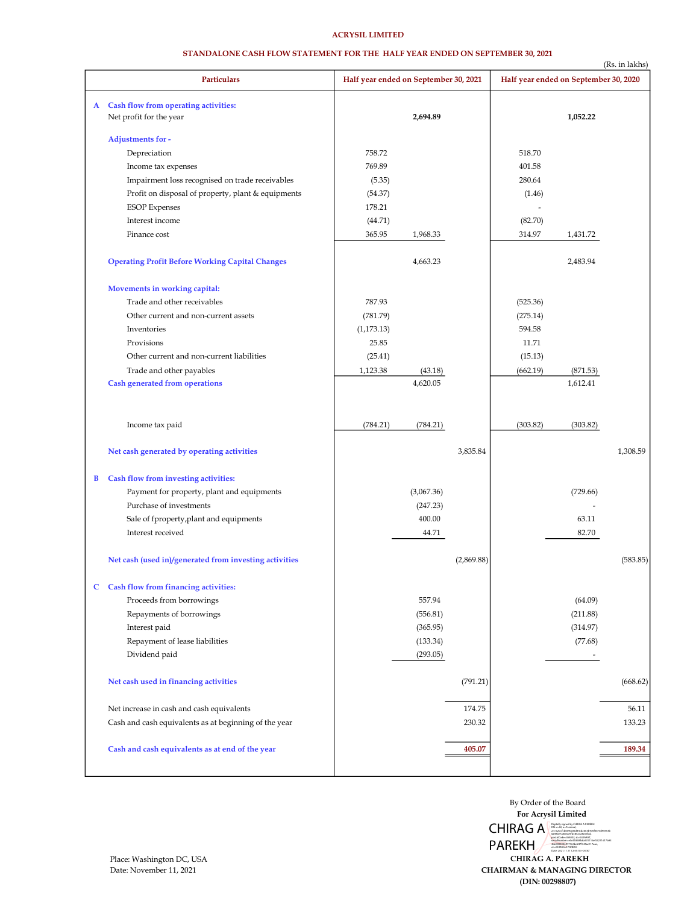# ACRYSIL LIMITED

#### STANDALONE CASH FLOW STATEMENT FOR THE HALF YEAR ENDED ON SEPTEMBER 30, 2021

|   | <b>Particulars</b>                                                |                                       |            |            | (Rs. in lakhs)<br>Half year ended on September 30, 2020 |          |          |  |
|---|-------------------------------------------------------------------|---------------------------------------|------------|------------|---------------------------------------------------------|----------|----------|--|
|   |                                                                   | Half year ended on September 30, 2021 |            |            |                                                         |          |          |  |
|   | A Cash flow from operating activities:<br>Net profit for the year |                                       | 2,694.89   |            |                                                         | 1,052.22 |          |  |
|   | Adjustments for -                                                 |                                       |            |            |                                                         |          |          |  |
|   | Depreciation                                                      | 758.72                                |            |            | 518.70                                                  |          |          |  |
|   | Income tax expenses                                               | 769.89                                |            |            | 401.58                                                  |          |          |  |
|   | Impairment loss recognised on trade receivables                   | (5.35)                                |            |            | 280.64                                                  |          |          |  |
|   | Profit on disposal of property, plant & equipments                | (54.37)                               |            |            | (1.46)                                                  |          |          |  |
|   | <b>ESOP</b> Expenses                                              | 178.21                                |            |            |                                                         |          |          |  |
|   | Interest income                                                   | (44.71)                               |            |            | (82.70)                                                 |          |          |  |
|   | Finance cost                                                      | 365.95                                | 1,968.33   |            | 314.97                                                  | 1,431.72 |          |  |
|   | <b>Operating Profit Before Working Capital Changes</b>            |                                       | 4,663.23   |            |                                                         | 2,483.94 |          |  |
|   | Movements in working capital:                                     |                                       |            |            |                                                         |          |          |  |
|   | Trade and other receivables                                       | 787.93                                |            |            | (525.36)                                                |          |          |  |
|   | Other current and non-current assets                              | (781.79)                              |            |            | (275.14)                                                |          |          |  |
|   | Inventories                                                       | (1, 173.13)                           |            |            | 594.58                                                  |          |          |  |
|   | Provisions                                                        | 25.85                                 |            |            | 11.71                                                   |          |          |  |
|   | Other current and non-current liabilities                         | (25.41)                               |            |            | (15.13)                                                 |          |          |  |
|   | Trade and other payables                                          | 1,123.38                              | (43.18)    |            | (662.19)                                                | (871.53) |          |  |
|   | <b>Cash generated from operations</b>                             |                                       | 4,620.05   |            |                                                         | 1,612.41 |          |  |
|   |                                                                   |                                       |            |            |                                                         |          |          |  |
|   | Income tax paid                                                   | (784.21)                              | (784.21)   |            | (303.82)                                                | (303.82) |          |  |
|   | Net cash generated by operating activities                        |                                       |            | 3,835.84   |                                                         |          | 1,308.59 |  |
| B | Cash flow from investing activities:                              |                                       |            |            |                                                         |          |          |  |
|   | Payment for property, plant and equipments                        |                                       | (3,067.36) |            |                                                         | (729.66) |          |  |
|   | Purchase of investments                                           |                                       | (247.23)   |            |                                                         |          |          |  |
|   | Sale of fproperty, plant and equipments                           |                                       | 400.00     |            |                                                         | 63.11    |          |  |
|   | Interest received                                                 |                                       | 44.71      |            |                                                         | 82.70    |          |  |
|   | Net cash (used in)/generated from investing activities            |                                       |            | (2,869.88) |                                                         |          | (583.85) |  |
| C | Cash flow from financing activities:                              |                                       |            |            |                                                         |          |          |  |
|   | Proceeds from borrowings                                          |                                       | 557.94     |            |                                                         | (64.09)  |          |  |
|   | Repayments of borrowings                                          |                                       | (556.81)   |            |                                                         | (211.88) |          |  |
|   | Interest paid                                                     |                                       | (365.95)   |            |                                                         | (314.97) |          |  |
|   | Repayment of lease liabilities                                    |                                       | (133.34)   |            |                                                         | (77.68)  |          |  |
|   | Dividend paid                                                     |                                       | (293.05)   |            |                                                         |          |          |  |
|   | Net cash used in financing activities                             |                                       |            | (791.21)   |                                                         |          | (668.62) |  |
|   | Net increase in cash and cash equivalents                         |                                       |            | 174.75     |                                                         |          | 56.11    |  |
|   | Cash and cash equivalents as at beginning of the year             |                                       |            | 230.32     |                                                         |          | 133.23   |  |
|   |                                                                   |                                       |            |            |                                                         |          |          |  |
|   | Cash and cash equivalents as at end of the year                   |                                       |            | 405.07     |                                                         |          | 189.34   |  |
|   |                                                                   |                                       |            |            |                                                         |          |          |  |

(DIN: 00298807) CHAIRMAN & MANAGING DIRECTOR CHIRAG A. PAREKH For Acrysil Limited By Order of the Board CHIRAG A Digitally signed by CHIRAG A PAREKH<br>
2.5.4.20=fcb6690c06d44cd2663b976f673d90453b<br>
0a49be7a4e8c7efb3852728c56fcd, PAREKH postalCode=364002, st=GUJARAT,<br>sérialNumber=e5c41869fb8a931116ef53271d17b93<br>4de0304936977764bc247f345ac117aae,<br>cn=CHIRAG A PAREKH<br>Date: 2021.11.11 12:41:18 +05'30'